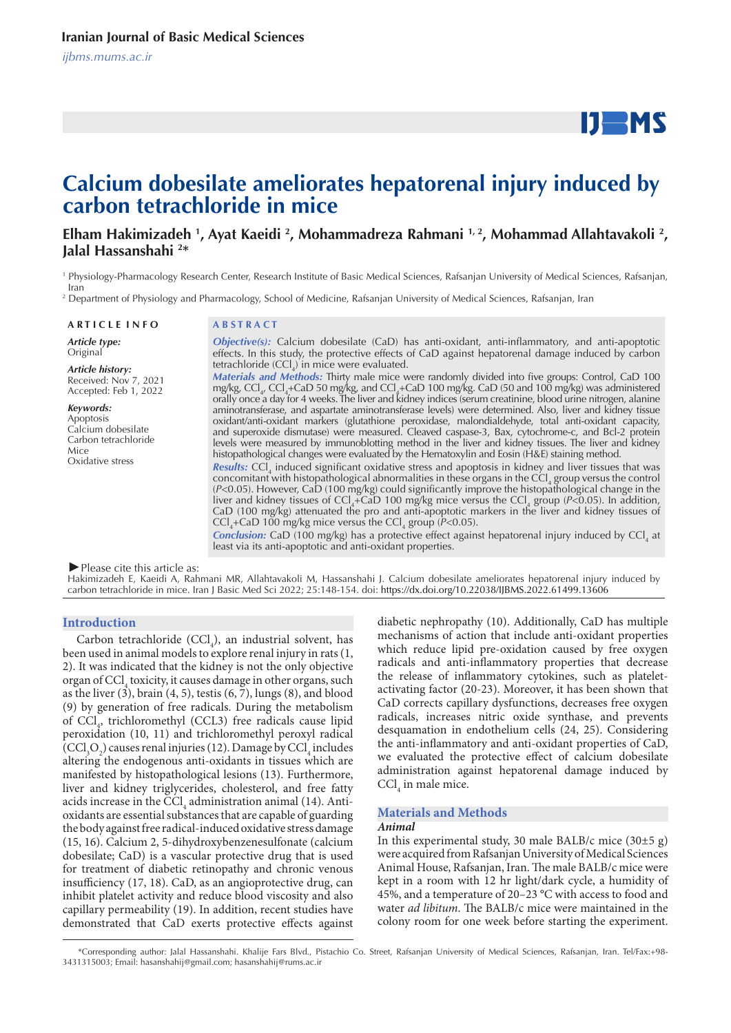# $IJ$  MS

# **Calcium dobesilate ameliorates hepatorenal injury induced by carbon tetrachloride in mice**

Elham Hakimizadeh <sup>1</sup>, Ayat Kaeidi <sup>2</sup>, Mohammadreza Rahmani <sup>1, 2</sup>, Mohammad Allahtavakoli <sup>2</sup>, **Jalal Hassanshahi 2 \*** 

1 Physiology-Pharmacology Research Center, Research Institute of Basic Medical Sciences, Rafsanjan University of Medical Sciences, Rafsanjan, Iran

2 Department of Physiology and Pharmacology, School of Medicine, Rafsanjan University of Medical Sciences, Rafsanjan, Iran

*Article type:* Original

*Article history:* Received: Nov 7, 2021 Accepted: Feb 1, 2022

*Keywords:* Apoptosis Calcium dobesilate Carbon tetrachloride Mice Oxidative stress

#### **A R T I C L E I N F O A B S T R A C T**

*Objective(s):* Calcium dobesilate (CaD) has anti-oxidant, anti-inflammatory, and anti-apoptotic effects. In this study, the protective effects of CaD against hepatorenal damage induced by carbon tetrachloride  $(CCl<sub>4</sub>)$  in mice were evaluated. *Materials and Methods:* Thirty male mice were randomly divided into five groups: Control, CaD 100 mg/kg, CCl<sub>4</sub>, CCl<sub>4</sub>+CaD 50 mg/kg, and CCl<sub>4</sub>+CaD 100 mg/kg. CaD (50 and 100 mg/kg) was administered orally once a day for 4 weeks. The liver and kidney indices (serum creatinine, blood urine nitrogen, alanine aminotransferase, and aspartate aminotransferase levels) were determined. Also, liver and kidney tissue oxidant/anti-oxidant markers (glutathione peroxidase, malondialdehyde, total anti-oxidant capacity, and superoxide dismutase) were measured. Cleaved caspase-3, Bax, cytochrome-c, and Bcl-2 protein levels were measured by immunoblotting method in the liver and kidney tissues. The liver and kidney

histopathological changes were evaluated by the Hematoxylin and Eosin (H&E) staining method. **Results:** CCl<sub>4</sub> induced significant oxidative stress and apoptosis in kidney and liver tissues that was concomitant with histopathological abnormalities in these organs in the CCl<sub>4</sub> group versus the control (*P*<0.05). However, CaD (100 mg/kg) could significantly improve the histopathological change in the liver and kidney tissues of CCl<sub>4</sub>+CaD 100 mg/kg mice versus the CCl<sub>4</sub> group ( $P<0.05$ ). In addition, CaD (100 mg/kg) attenuated the pro and anti-apoptotic markers in the liver and kidney tissues of  $\text{CCI}_4$ +CaD 100 mg/kg mice versus the  $\text{CCI}_4$  group (*P*<0.05).

**Conclusion:** CaD (100 mg/kg) has a protective effect against hepatorenal injury induced by CCl<sub>4</sub> at least via its anti-apoptotic and anti-oxidant properties.

*►*Please cite this article as:

Hakimizadeh E, Kaeidi A, Rahmani MR, Allahtavakoli M, Hassanshahi J. Calcium dobesilate ameliorates hepatorenal injury induced by carbon tetrachloride in mice. Iran J Basic Med Sci 2022; 25:148-154. doi: https://dx.doi.org/10.22038/IJBMS.2022.61499.13606

#### **Introduction**

Carbon tetrachloride  $(CCl<sub>4</sub>)$ , an industrial solvent, has been used in animal models to explore renal injury in rats (1, 2). It was indicated that the kidney is not the only objective organ of CCl<sub>4</sub> toxicity, it causes damage in other organs, such as the liver  $(3)$ , brain  $(4, 5)$ , testis  $(6, 7)$ , lungs  $(8)$ , and blood (9) by generation of free radicals. During the metabolism of  $\text{CCL}_4$ , trichloromethyl (CCL3) free radicals cause lipid peroxidation (10, 11) and trichloromethyl peroxyl radical  $(CCl<sub>3</sub>O<sub>2</sub>)$  causes renal injuries (12). Damage by  $CCl<sub>4</sub>$  includes altering the endogenous anti-oxidants in tissues which are manifested by histopathological lesions (13). Furthermore, liver and kidney triglycerides, cholesterol, and free fatty acids increase in the  $\text{CCl}_4$  administration animal (14). Antioxidants are essential substances that are capable of guarding the body against free radical-induced oxidative stress damage (15, 16). Calcium 2, 5-dihydroxybenzenesulfonate (calcium dobesilate; CaD) is a vascular protective drug that is used for treatment of diabetic retinopathy and chronic venous insufficiency (17, 18). CaD, as an angioprotective drug, can inhibit platelet activity and reduce blood viscosity and also capillary permeability (19). In addition, recent studies have demonstrated that CaD exerts protective effects against diabetic nephropathy (10). Additionally, CaD has multiple mechanisms of action that include anti-oxidant properties which reduce lipid pre-oxidation caused by free oxygen radicals and anti-inflammatory properties that decrease the release of inflammatory cytokines, such as plateletactivating factor (20-23). Moreover, it has been shown that CaD corrects capillary dysfunctions, decreases free oxygen radicals, increases nitric oxide synthase, and prevents desquamation in endothelium cells (24, 25). Considering the anti-inflammatory and anti-oxidant properties of CaD, we evaluated the protective effect of calcium dobesilate administration against hepatorenal damage induced by  $\text{CCl}_4$  in male mice.

# **Materials and Methods**

#### *Animal*

In this experimental study, 30 male BALB/c mice  $(30±5 g)$ were acquired from Rafsanjan University of Medical Sciences Animal House, Rafsanjan, Iran. The male BALB/c mice were kept in a room with 12 hr light/dark cycle, a humidity of 45%, and a temperature of 20–23 °C with access to food and water *ad libitum*. The BALB/c mice were maintained in the colony room for one week before starting the experiment.

 <sup>\*</sup>Corresponding author: Jalal Hassanshahi. Khalije Fars Blvd., Pistachio Co. Street, Rafsanjan University of Medical Sciences, Rafsanjan, Iran. Tel/Fax:+98- 3431315003; Email: hasanshahij@gmail.com; hasanshahij@rums.ac.ir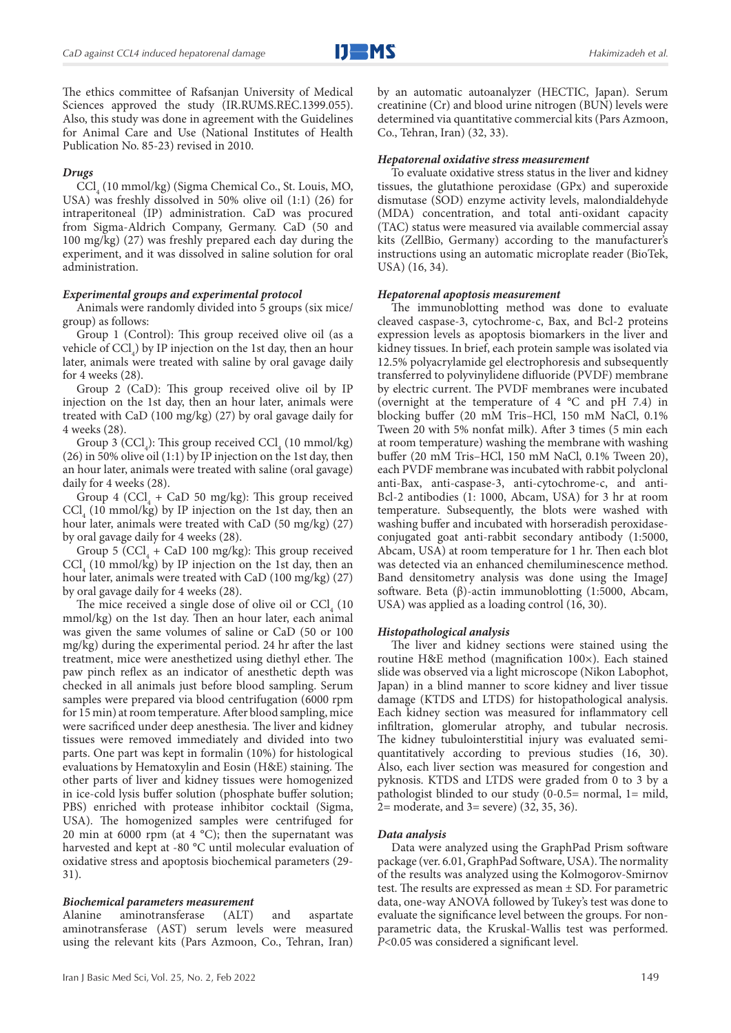

The ethics committee of Rafsanjan University of Medical Sciences approved the study (IR.RUMS.REC.1399.055). Also, this study was done in agreement with the Guidelines for Animal Care and Use (National Institutes of Health Publication No. 85-23) revised in 2010.

# *Drugs*

CCl<sub>4</sub> (10 mmol/kg) (Sigma Chemical Co., St. Louis, MO, USA) was freshly dissolved in 50% olive oil (1:1) (26) for intraperitoneal (IP) administration. CaD was procured from Sigma-Aldrich Company, Germany. CaD (50 and 100 mg/kg) (27) was freshly prepared each day during the experiment, and it was dissolved in saline solution for oral administration.

#### *Experimental groups and experimental protocol*

Animals were randomly divided into 5 groups (six mice/ group) as follows:

Group 1 (Control): This group received olive oil (as a vehicle of  $\text{CCl}_4$ ) by IP injection on the 1st day, then an hour later, animals were treated with saline by oral gavage daily for 4 weeks (28).

Group 2 (CaD): This group received olive oil by IP injection on the 1st day, then an hour later, animals were treated with CaD (100 mg/kg) (27) by oral gavage daily for 4 weeks (28).

Group 3 (CCl<sub>4</sub>): This group received CCl<sub>4</sub> (10 mmol/kg) (26) in 50% olive oil (1:1) by IP injection on the 1st day, then an hour later, animals were treated with saline (oral gavage) daily for 4 weeks (28).

Group 4 (CCl<sub>4</sub> + CaD 50 mg/kg): This group received  $\text{CCl}_4$  (10 mmol/kg) by IP injection on the 1st day, then an hour later, animals were treated with CaD (50 mg/kg) (27) by oral gavage daily for 4 weeks (28).

Group 5 (CCl<sub>4</sub> + CaD 100 mg/kg): This group received  $\text{CCl}_4$  (10 mmol/kg) by IP injection on the 1st day, then an hour later, animals were treated with CaD (100 mg/kg) (27) by oral gavage daily for 4 weeks (28).

The mice received a single dose of olive oil or  $\text{CCl}_4$  (10) mmol/kg) on the 1st day. Then an hour later, each animal was given the same volumes of saline or CaD (50 or 100 mg/kg) during the experimental period. 24 hr after the last treatment, mice were anesthetized using diethyl ether. The paw pinch reflex as an indicator of anesthetic depth was checked in all animals just before blood sampling. Serum samples were prepared via blood centrifugation (6000 rpm for 15 min) at room temperature. After blood sampling, mice were sacrificed under deep anesthesia. The liver and kidney tissues were removed immediately and divided into two parts. One part was kept in formalin (10%) for histological evaluations by Hematoxylin and Eosin (H&E) staining. The other parts of liver and kidney tissues were homogenized in ice-cold lysis buffer solution (phosphate buffer solution; PBS) enriched with protease inhibitor cocktail (Sigma, USA). The homogenized samples were centrifuged for 20 min at 6000 rpm (at 4  $^{\circ}$ C); then the supernatant was harvested and kept at -80 °C until molecular evaluation of oxidative stress and apoptosis biochemical parameters (29- 31).

#### *Biochemical parameters measurement*

Alanine aminotransferase (ALT) and aspartate aminotransferase (AST) serum levels were measured using the relevant kits (Pars Azmoon, Co., Tehran, Iran) by an automatic autoanalyzer (HECTIC, Japan). Serum creatinine (Cr) and blood urine nitrogen (BUN) levels were determined via quantitative commercial kits (Pars Azmoon, Co., Tehran, Iran) (32, 33).

#### *Hepatorenal oxidative stress measurement*

To evaluate oxidative stress status in the liver and kidney tissues, the glutathione peroxidase (GPx) and superoxide dismutase (SOD) enzyme activity levels, malondialdehyde (MDA) concentration, and total anti-oxidant capacity (TAC) status were measured via available commercial assay kits (ZellBio, Germany) according to the manufacturer's instructions using an automatic microplate reader (BioTek, USA) (16, 34).

#### *Hepatorenal apoptosis measurement*

The immunoblotting method was done to evaluate cleaved caspase-3, cytochrome-c, Bax, and Bcl-2 proteins expression levels as apoptosis biomarkers in the liver and kidney tissues. In brief, each protein sample was isolated via 12.5% polyacrylamide gel electrophoresis and subsequently transferred to polyvinylidene difluoride (PVDF) membrane by electric current. The PVDF membranes were incubated (overnight at the temperature of 4 °C and pH 7.4) in blocking buffer (20 mM Tris–HCl, 150 mM NaCl, 0.1% Tween 20 with 5% nonfat milk). After 3 times (5 min each at room temperature) washing the membrane with washing buffer (20 mM Tris–HCl, 150 mM NaCl, 0.1% Tween 20), each PVDF membrane was incubated with rabbit polyclonal anti-Bax, anti-caspase-3, anti-cytochrome-c, and anti-Bcl-2 antibodies (1: 1000, Abcam, USA) for 3 hr at room temperature. Subsequently, the blots were washed with washing buffer and incubated with horseradish peroxidaseconjugated goat anti-rabbit secondary antibody (1:5000, Abcam, USA) at room temperature for 1 hr. Then each blot was detected via an enhanced chemiluminescence method. Band densitometry analysis was done using the ImageJ software. Beta (β)-actin immunoblotting (1:5000, Abcam, USA) was applied as a loading control (16, 30).

#### *Histopathological analysis*

The liver and kidney sections were stained using the routine H&E method (magnification 100×). Each stained slide was observed via a light microscope (Nikon Labophot, Japan) in a blind manner to score kidney and liver tissue damage (KTDS and LTDS) for histopathological analysis. Each kidney section was measured for inflammatory cell infiltration, glomerular atrophy, and tubular necrosis. The kidney tubulointerstitial injury was evaluated semiquantitatively according to previous studies (16, 30). Also, each liver section was measured for congestion and pyknosis. KTDS and LTDS were graded from 0 to 3 by a pathologist blinded to our study (0-0.5= normal, 1= mild, 2= moderate, and 3= severe) (32, 35, 36).

#### *Data analysis*

Data were analyzed using the GraphPad Prism software package (ver. 6.01, GraphPad Software, USA). The normality of the results was analyzed using the Kolmogorov-Smirnov test. The results are expressed as mean ± SD. For parametric data, one-way ANOVA followed by Tukey's test was done to evaluate the significance level between the groups. For nonparametric data, the Kruskal-Wallis test was performed. *P*<0.05 was considered a significant level.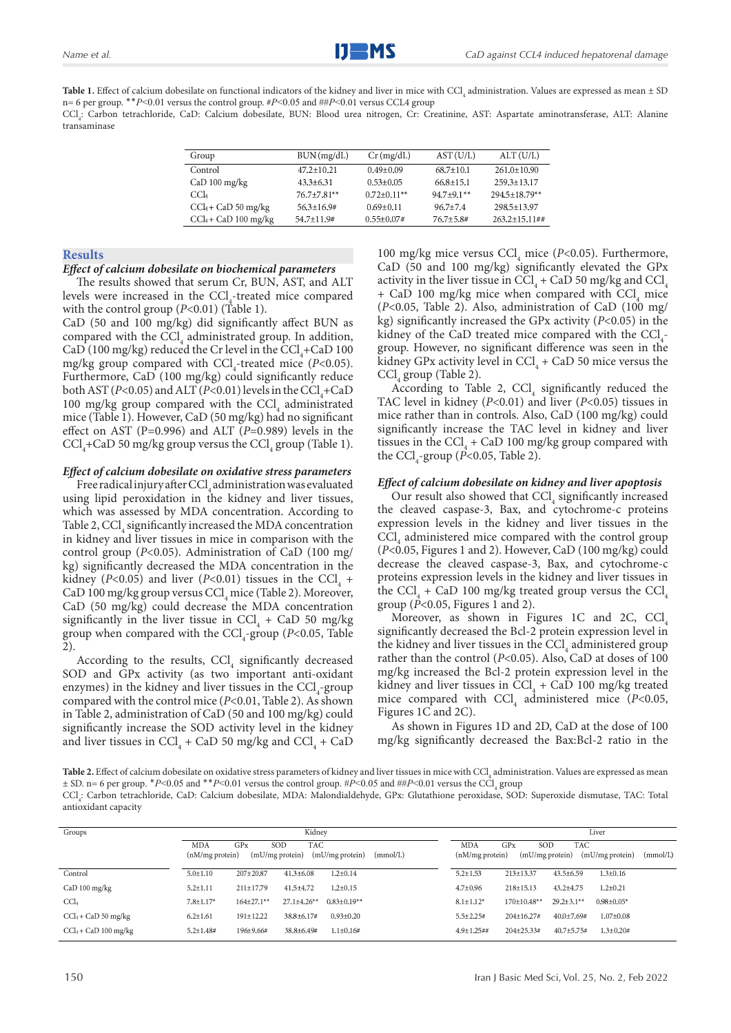**Table 1.** Effect of calcium dobesilate on functional indicators of the kidney and liver in mice with  $\mathrm{CCl}_{_4}$  administration. Values are expressed as mean  $\pm$  SD n= 6 per group. ٭٭*P*˂0.01 versus the control group. #*P*˂0.05 and ##*P*˂0.01 versus CCL4 group

 $\text{CCl}_4$ : Carbon tetrachloride, CaD: Calcium dobesilate, BUN: Blood urea nitrogen, Cr: Creatinine, AST: Aspartate aminotransferase, ALT: Alanine transaminase

| Group                  | BUN (mg/dL)     | $Cr$ (mg/dL)      | AST (U/L)      | ALT (U/L)          |
|------------------------|-----------------|-------------------|----------------|--------------------|
| Control                | $47.2 + 10.21$  | $0.49 + 0.09$     | $68.7 + 10.1$  | $261.0 + 10.90$    |
| $CaD 100$ mg/kg        | $43.3 + 6.31$   | $0.53 + 0.05$     | $66.8 + 15.1$  | 259.3+13.17        |
| CCl <sub>4</sub>       | $76.7 + 7.81**$ | $0.72+0.11**$     | $94.7 + 9.1**$ | $294.5 + 18.79**$  |
| $CCl_4 + CaD 50$ mg/kg | $56.3 + 16.9$ # | $0.69 + 0.11$     | $96.7 + 7.4$   | 298.5+13.97        |
| $CCl4 + CaD 100$ mg/kg | $54.7 + 11.9#$  | $0.55 \pm 0.07$ # | $76.7 + 5.8$ # | $263.2 + 15.11$ ## |

#### **Results**

#### *Effect of calcium dobesilate on biochemical parameters*

The results showed that serum Cr, BUN, AST, and ALT levels were increased in the  $\text{CCl}_4$ -treated mice compared with the control group (*P*<0.01) (Table 1).

CaD (50 and 100 mg/kg) did significantly affect BUN as compared with the  $\text{CCl}_4$  administrated group. In addition, CaD (100 mg/kg) reduced the Cr level in the  $\text{CCl}_{4}^{+}$ CaD 100 mg/kg group compared with  $\text{CCl}_4$ -treated mice (*P*<0.05). Furthermore, CaD (100 mg/kg) could significantly reduce both AST ( $P < 0.05$ ) and ALT ( $P < 0.01$ ) levels in the CCl<sub>4</sub>+CaD 100 mg/kg group compared with the  $\text{CCl}_4$  administrated mice (Table 1). However, CaD (50 mg/kg) had no significant effect on AST (P=0.996) and ALT (*P*=0.989) levels in the  $\text{CCl}_4$ +CaD 50 mg/kg group versus the  $\text{CCl}_4$  group (Table 1).

#### *Effect of calcium dobesilate on oxidative stress parameters*

Free radical injury after  $\text{CCl}_4$  administration was evaluated using lipid peroxidation in the kidney and liver tissues, which was assessed by MDA concentration. According to Table 2,  $\text{CCl}_4$  significantly increased the MDA concentration in kidney and liver tissues in mice in comparison with the control group (*P*<0.05). Administration of CaD (100 mg/ kg) significantly decreased the MDA concentration in the kidney (*P*<0.05) and liver (*P*<0.01) tissues in the CCl<sub>4</sub> + CaD 100 mg/kg group versus CCl<sub>4</sub> mice (Table 2). Moreover, CaD (50 mg/kg) could decrease the MDA concentration significantly in the liver tissue in  $\text{CCl}_4$  + CaD 50 mg/kg group when compared with the CCl<sub>4</sub>-group (*P*<0.05, Table 2).

According to the results,  $\text{CCl}_4$  significantly decreased SOD and GPx activity (as two important anti-oxidant enzymes) in the kidney and liver tissues in the  $\text{CCl}_4$ -group compared with the control mice (*P*<0.01, Table 2). As shown in Table 2, administration of CaD (50 and 100 mg/kg) could significantly increase the SOD activity level in the kidney and liver tissues in  $\text{CCl}_4 + \text{CaD}$  50 mg/kg and  $\text{CCl}_4 + \text{CaD}$  100 mg/kg mice versus CCl<sub>4</sub> mice (*P*<0.05). Furthermore, CaD (50 and 100 mg/kg) significantly elevated the GPx activity in the liver tissue in  $\text{CCl}_4 + \text{CaD}$  50 mg/kg and  $\text{CCl}_4$  $+$  CaD 100 mg/kg mice when compared with  $\text{CCl}_4$  mice (*P*<0.05, Table 2). Also, administration of CaD (100 mg/ kg) significantly increased the GPx activity (*P*<0.05) in the kidney of the CaD treated mice compared with the  $\text{CC}l_{4}$ group. However, no significant difference was seen in the kidney GPx activity level in  $\text{CCl}_4 + \text{CaD}$  50 mice versus the  $\text{CCl}_4$  group (Table 2).

According to Table 2,  $\text{CCl}_4$  significantly reduced the TAC level in kidney (*P*<0.01) and liver (*P*<0.05) tissues in mice rather than in controls. Also, CaD (100 mg/kg) could significantly increase the TAC level in kidney and liver tissues in the CCl<sub>4</sub> + CaD 100 mg/kg group compared with the  $\text{CCl}_4$ -group (*P*<0.05, Table 2).

#### *Effect of calcium dobesilate on kidney and liver apoptosis*

Our result also showed that  $\text{CCI}_4$  significantly increased the cleaved caspase-3, Bax, and cytochrome-c proteins expression levels in the kidney and liver tissues in the  $\text{CCl}_4$  administered mice compared with the control group (*P*<0.05, Figures 1 and 2). However, CaD (100 mg/kg) could decrease the cleaved caspase-3, Bax, and cytochrome-c proteins expression levels in the kidney and liver tissues in the CCl<sub>4</sub> + CaD 100 mg/kg treated group versus the CCl<sub>4</sub> group ( $\vec{P}$ <0.05, Figures 1 and 2).

Moreover, as shown in Figures 1C and 2C,  $CCI<sub>4</sub>$ significantly decreased the Bcl-2 protein expression level in the kidney and liver tissues in the  $\text{CCl}_4$  administered group rather than the control (*P*<0.05). Also, CaD at doses of 100 mg/kg increased the Bcl-2 protein expression level in the kidney and liver tissues in  $\text{CCl}_4^1$  + CaD 100 mg/kg treated mice compared with  $\text{CCl}_4$  administered mice (*P*<0.05, Figures 1C and 2C).

As shown in Figures 1D and 2D, CaD at the dose of 100 mg/kg significantly decreased the Bax:Bcl-2 ratio in the

**Table 2.** Effect of calcium dobesilate on oxidative stress parameters of kidney and liver tissues in mice with CCl<sub>4</sub> administration. Values are expressed as mean ± SD. n= 6 per group. \**P*<0.05 and \*\**P*<0.01 versus the control group. #*P*<0.05 and ##*P*<0.01 versus the CCl<sub>4</sub> group  $\text{CCl}_4$ : Carbon tetrachloride, CaD: Calcium dobesilate, MDA: Malondialdehyde, GPx: Glutathione peroxidase, SOD: Superoxide dismutase, TAC: Total antioxidant capacity

| Groups                 | Kidney                        |                        |                   |                 |          | Liver                            |                               |                   |                  |          |
|------------------------|-------------------------------|------------------------|-------------------|-----------------|----------|----------------------------------|-------------------------------|-------------------|------------------|----------|
|                        | <b>MDA</b><br>(nM/mg protein) | GPX<br>(mU/mg protein) | <b>TAC</b><br>SOD | (mU/mg protein) | (mmol/L) | <b>MDA</b><br>$(nM/mg)$ protein) | GPX<br>SOD<br>(mU/mg protein) | <b>TAC</b>        | (mU/mg protein)  | (mmol/L) |
| Control                | $5.0 \pm 1.10$                | $207 + 20.87$          | $41.3 \pm 6.08$   | $1.2 \pm 0.14$  |          | $5.2 \pm 1.53$                   | $213 \pm 13.37$               | $43.5 \pm 6.59$   | $1.3 \pm 0.16$   |          |
| CaD 100 mg/kg          | $5.2 \pm 1.11$                | $211 \pm 17.79$        | $41.5 \pm 4.72$   | $1.2 \pm 0.15$  |          | $4.7 \pm 0.96$                   | $218 \pm 15.13$               | $43.2 + 4.75$     | $1.2 \pm 0.21$   |          |
| CCL                    | $7.8 \pm 1.17$ *              | $164\pm27.1**$         | $27.1 \pm 4.26**$ | $0.83 + 0.19**$ |          | $8.1 \pm 1.12^*$                 | $170 \pm 10.48**$             | $29.2 \pm 3.1$ ** | $0.98 \pm 0.05*$ |          |
| $CCA + CaD 50$ mg/kg   | $6.2 \pm 1.61$                | $191 \pm 12.22$        | $38.8 \pm 6.17$ # | $0.93 \pm 0.20$ |          | $5.5 \pm 2.25#$                  | $204 \pm 16.27$ #             | $40.0 \pm 7.69#$  | $1.07 \pm 0.08$  |          |
| $CCl4 + CaD 100$ mg/kg | $5.2 \pm 1.48$ #              | 196±9.66#              | $38.8 \pm 6.49#$  | $1.1 \pm 0.16#$ |          | $4.9 \pm 1.25$ ##                | $204\pm 25.33#$               | $40.7 \pm 5.75#$  | $1.3 \pm 0.20#$  |          |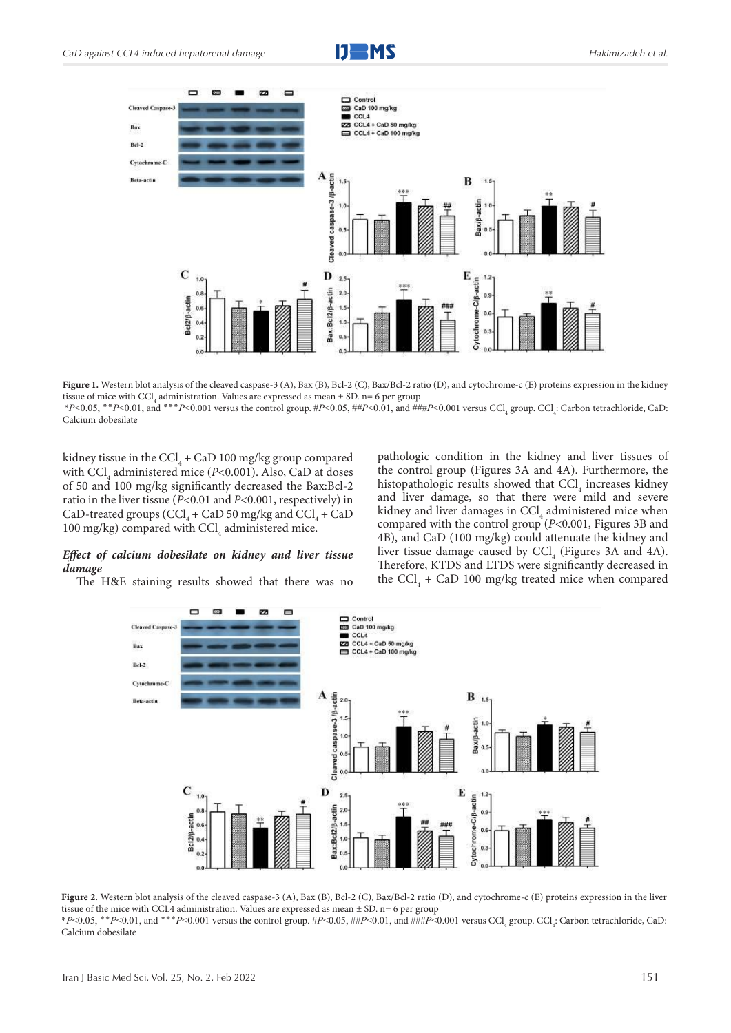



Figure 1. Western blot analysis of the cleaved caspase-3 (A), Bax (B), Bcl-2 (C), Bax/Bcl-2 ratio (D), and cytochrome-c (E) proteins expression in the kidney tissue of mice with  $\text{CCl}_4$  administration. Values are expressed as mean  $\pm$  SD. n= 6 per group \**P*<0.05, \*\**P*<0.01, and \*\*\**P*<0.001 versus the control group. #*P*<0.05, ##*P*<0.01, and ###*P*<0.001 versus CCl<sub>4</sub> group. CCl<sub>4</sub>: Carbon tetrachloride, CaD: Calcium dobesilate

kidney tissue in the CCl<sub>4</sub> + CaD 100 mg/kg group compared with CCl<sub>4</sub> administered mice (*P*<0.001). Also, CaD at doses of 50 and 100 mg/kg significantly decreased the Bax:Bcl-2 ratio in the liver tissue (*P*<0.01 and *P*<0.001, respectively) in CaD-treated groups (CCl<sub>4</sub> + CaD 50 mg/kg and CCl<sub>4</sub> + CaD 100 mg/kg) compared with  $\text{CCI}_4$  administered mice.

# *Effect of calcium dobesilate on kidney and liver tissue damage*

The H&E staining results showed that there was no

pathologic condition in the kidney and liver tissues of the control group (Figures 3A and 4A). Furthermore, the histopathologic results showed that  $\text{CCl}_4$  increases kidney and liver damage, so that there were mild and severe kidney and liver damages in  $\text{CCl}_4$  administered mice when compared with the control group (*P*<0.001, Figures 3B and 4B), and CaD (100 mg/kg) could attenuate the kidney and liver tissue damage caused by  $\text{CCl}_4$  (Figures 3A and 4A). Therefore, KTDS and LTDS were significantly decreased in the  $\text{CCl}_4$  + CaD 100 mg/kg treated mice when compared



Figure 2. Western blot analysis of the cleaved caspase-3 (A), Bax (B), Bcl-2 (C), Bax/Bcl-2 ratio (D), and cytochrome-c (E) proteins expression in the liver tissue of the mice with CCL4 administration. Values are expressed as mean ± SD. n= 6 per group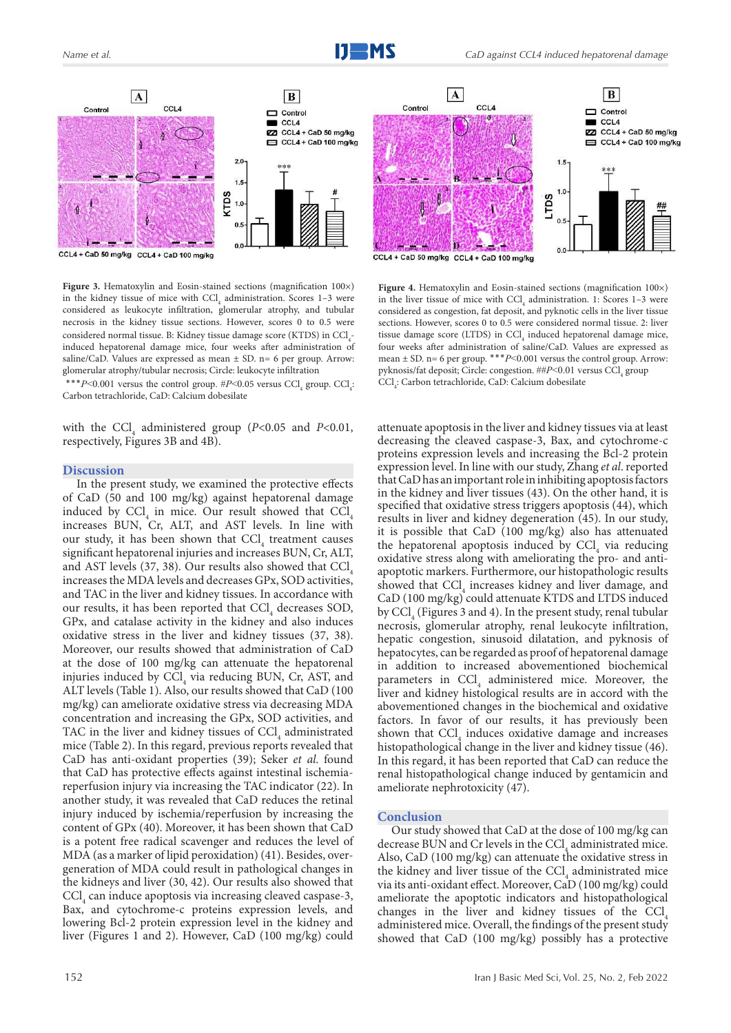

Figure 3. Hematoxylin and Eosin-stained sections (magnification 100×) in the kidney tissue of mice with  $\text{CCl}_4$  administration. Scores 1-3 were considered as leukocyte infiltration, glomerular atrophy, and tubular necrosis in the kidney tissue sections. However, scores 0 to 0.5 were considered normal tissue. B: Kidney tissue damage score (KTDS) in  $\text{CCl}_{4}$ induced hepatorenal damage mice, four weeks after administration of saline/CaD. Values are expressed as mean  $\pm$  SD. n= 6 per group. Arrow: glomerular atrophy/tubular necrosis; Circle: leukocyte infiltration

\*\*\* $P \le 0.001$  versus the control group.  $\#P \le 0.05$  versus CCl<sub>4</sub> group. CCl<sub>4</sub>: Carbon tetrachloride, CaD: Calcium dobesilate

with the CCl<sub>4</sub> administered group ( $P$ <0.05 and  $P$ <0.01, respectively, Figures 3B and 4B).

#### **Discussion**

In the present study, we examined the protective effects of CaD (50 and 100 mg/kg) against hepatorenal damage induced by  $\text{CCl}_4$  in mice. Our result showed that  $\text{CCl}_4$ increases BUN, Cr, ALT, and AST levels. In line with our study, it has been shown that  $\text{CCl}_4$  treatment causes significant hepatorenal injuries and increases BUN, Cr, ALT, and AST levels (37, 38). Our results also showed that CCl. increases the MDA levels and decreases GPx, SOD activities, and TAC in the liver and kidney tissues. In accordance with our results, it has been reported that  $\text{CCl}_4$  decreases SOD, GPx, and catalase activity in the kidney and also induces oxidative stress in the liver and kidney tissues (37, 38). Moreover, our results showed that administration of CaD at the dose of 100 mg/kg can attenuate the hepatorenal injuries induced by  $\text{CCl}_4$  via reducing BUN, Cr, AST, and ALT levels (Table 1). Also, our results showed that CaD (100 mg/kg) can ameliorate oxidative stress via decreasing MDA concentration and increasing the GPx, SOD activities, and TAC in the liver and kidney tissues of  $\text{CCl}_4$  administrated mice (Table 2). In this regard, previous reports revealed that CaD has anti-oxidant properties (39); Seker *et al*. found that CaD has protective effects against intestinal ischemiareperfusion injury via increasing the TAC indicator (22). In another study, it was revealed that CaD reduces the retinal injury induced by ischemia/reperfusion by increasing the content of GPx (40). Moreover, it has been shown that CaD is a potent free radical scavenger and reduces the level of MDA (as a marker of lipid peroxidation) (41). Besides, overgeneration of MDA could result in pathological changes in the kidneys and liver (30, 42). Our results also showed that  $\text{CCl}_4$  can induce apoptosis via increasing cleaved caspase-3, Bax, and cytochrome-c proteins expression levels, and lowering Bcl-2 protein expression level in the kidney and liver (Figures 1 and 2). However, CaD (100 mg/kg) could



Figure 4. Hematoxylin and Eosin-stained sections (magnification 100×) in the liver tissue of mice with  $\text{CCI}_4$  administration. 1: Scores 1–3 were considered as congestion, fat deposit, and pyknotic cells in the liver tissue sections. However, scores 0 to 0.5 were considered normal tissue. 2: liver tissue damage score (LTDS) in  $\text{CCl}_4$  induced hepatorenal damage mice, four weeks after administration of saline/CaD. Values are expressed as mean  $\pm$  SD. n= 6 per group. \*\*\**P*<0.001 versus the control group. Arrow: pyknosis/fat deposit; Circle: congestion. ##P<0.01 versus CCl<sub>4</sub> group  $\mathrm{CCl}_{4}$ : Carbon tetrachloride, CaD: Calcium dobesilate

attenuate apoptosis in the liver and kidney tissues via at least decreasing the cleaved caspase-3, Bax, and cytochrome-c proteins expression levels and increasing the Bcl-2 protein expression level. In line with our study, Zhang *et al*. reported that CaD has an important role in inhibiting apoptosis factors in the kidney and liver tissues (43). On the other hand, it is specified that oxidative stress triggers apoptosis (44), which results in liver and kidney degeneration (45). In our study, it is possible that CaD (100 mg/kg) also has attenuated the hepatorenal apoptosis induced by  $\text{CCl}_4$  via reducing oxidative stress along with ameliorating the pro- and antiapoptotic markers. Furthermore, our histopathologic results showed that  $\text{CCl}_4$  increases kidney and liver damage, and CaD (100 mg/kg) could attenuate KTDS and LTDS induced by  $\text{CCl}_4$  (Figures 3 and 4). In the present study, renal tubular necrosis, glomerular atrophy, renal leukocyte infiltration, hepatic congestion, sinusoid dilatation, and pyknosis of hepatocytes, can be regarded as proof of hepatorenal damage in addition to increased abovementioned biochemical parameters in  $\text{CCl}_4$  administered mice. Moreover, the liver and kidney histological results are in accord with the abovementioned changes in the biochemical and oxidative factors. In favor of our results, it has previously been shown that CCl<sub>4</sub> induces oxidative damage and increases histopathological change in the liver and kidney tissue (46). In this regard, it has been reported that CaD can reduce the renal histopathological change induced by gentamicin and ameliorate nephrotoxicity (47).

### **Conclusion**

Our study showed that CaD at the dose of 100 mg/kg can decrease BUN and Cr levels in the  $\mathrm{CCl}_{4}$  administrated mice. Also, CaD (100 mg/kg) can attenuate the oxidative stress in the kidney and liver tissue of the  $\text{CCl}_4$  administrated mice via its anti-oxidant effect. Moreover, CaD (100 mg/kg) could ameliorate the apoptotic indicators and histopathological changes in the liver and kidney tissues of the  $\text{CCl}_4$ administered mice. Overall, the findings of the present study showed that CaD (100 mg/kg) possibly has a protective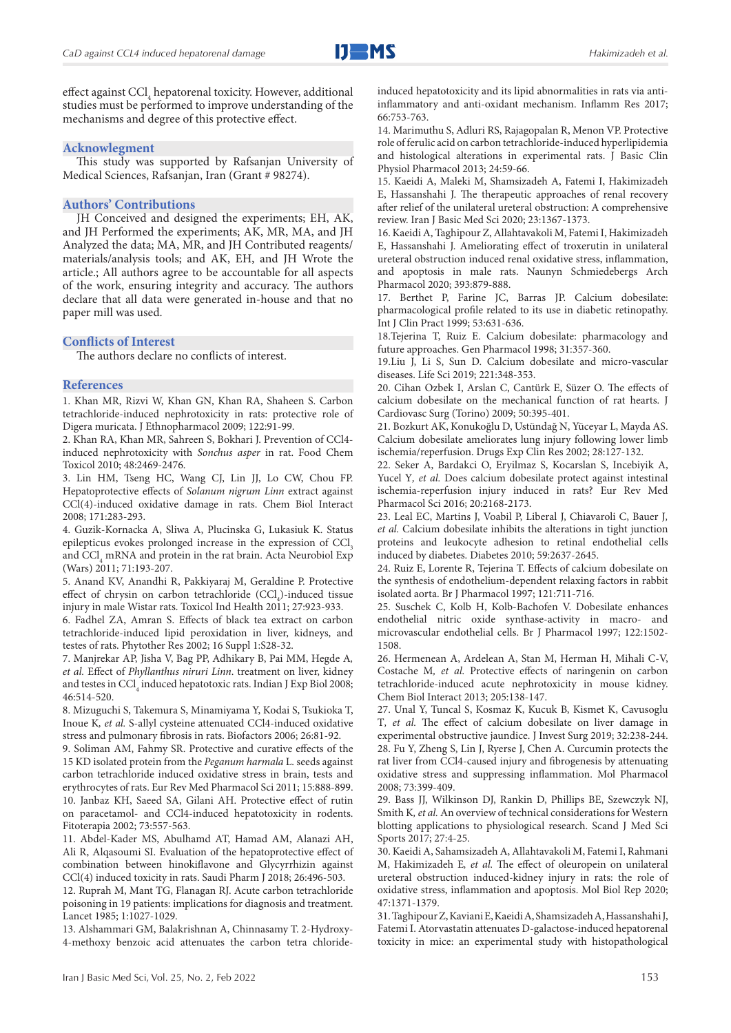effect against CCl<sub>4</sub> hepatorenal toxicity. However, additional studies must be performed to improve understanding of the mechanisms and degree of this protective effect.

#### **Acknowlegment**

This study was supported by Rafsanjan University of Medical Sciences, Rafsanjan, Iran (Grant # 98274).

## **Authors' Contributions**

JH Conceived and designed the experiments; EH, AK, and JH Performed the experiments; AK, MR, MA, and JH Analyzed the data; MA, MR, and JH Contributed reagents/ materials/analysis tools; and AK, EH, and JH Wrote the article.; All authors agree to be accountable for all aspects of the work, ensuring integrity and accuracy. The authors declare that all data were generated in-house and that no paper mill was used.

# **Conflicts of Interest**

The authors declare no conflicts of interest.

#### **References**

1. Khan MR, Rizvi W, Khan GN, Khan RA, Shaheen S. Carbon tetrachloride-induced nephrotoxicity in rats: protective role of Digera muricata. J Ethnopharmacol 2009; 122:91-99.

2. Khan RA, Khan MR, Sahreen S, Bokhari J. Prevention of CCl4 induced nephrotoxicity with *Sonchus asper* in rat. Food Chem Toxicol 2010; 48:2469-2476.

3. Lin HM, Tseng HC, Wang CJ, Lin JJ, Lo CW, Chou FP. Hepatoprotective effects of *Solanum nigrum Linn* extract against CCl(4)-induced oxidative damage in rats. Chem Biol Interact 2008; 171:283-293.

4. Guzik-Kornacka A, Sliwa A, Plucinska G, Lukasiuk K. Status epilepticus evokes prolonged increase in the expression of CCl<sub>3</sub> and CCl<sub>4</sub> mRNA and protein in the rat brain. Acta Neurobiol Exp (Wars) 2011; 71:193-207.

5. Anand KV, Anandhi R, Pakkiyaraj M, Geraldine P. Protective effect of chrysin on carbon tetrachloride (CCl<sub>4</sub>)-induced tissue injury in male Wistar rats. Toxicol Ind Health 2011; 27:923-933.

6. Fadhel ZA, Amran S. Effects of black tea extract on carbon tetrachloride-induced lipid peroxidation in liver, kidneys, and testes of rats. Phytother Res 2002; 16 Suppl 1:S28-32.

7. Manjrekar AP, Jisha V, Bag PP, Adhikary B, Pai MM, Hegde A*, et al.* Effect of *Phyllanthus niruri Linn*. treatment on liver, kidney and testes in  $\mathrm{CCl}_4$  induced hepatotoxic rats. Indian J Exp Biol 2008; 46:514-520.

8. Mizuguchi S, Takemura S, Minamiyama Y, Kodai S, Tsukioka T, Inoue K*, et al.* S-allyl cysteine attenuated CCl4-induced oxidative stress and pulmonary fibrosis in rats. Biofactors 2006; 26:81-92.

9. Soliman AM, Fahmy SR. Protective and curative effects of the 15 KD isolated protein from the *Peganum harmala* L. seeds against carbon tetrachloride induced oxidative stress in brain, tests and erythrocytes of rats. Eur Rev Med Pharmacol Sci 2011; 15:888-899. 10. Janbaz KH, Saeed SA, Gilani AH. Protective effect of rutin on paracetamol- and CCl4-induced hepatotoxicity in rodents. Fitoterapia 2002; 73:557-563.

11. Abdel-Kader MS, Abulhamd AT, Hamad AM, Alanazi AH, Ali R, Alqasoumi SI. Evaluation of the hepatoprotective effect of combination between hinokiflavone and Glycyrrhizin against CCl(4) induced toxicity in rats. Saudi Pharm J 2018; 26:496-503.

12. Ruprah M, Mant TG, Flanagan RJ. Acute carbon tetrachloride poisoning in 19 patients: implications for diagnosis and treatment. Lancet 1985; 1:1027-1029.

13. Alshammari GM, Balakrishnan A, Chinnasamy T. 2-Hydroxy-4-methoxy benzoic acid attenuates the carbon tetra chlorideinduced hepatotoxicity and its lipid abnormalities in rats via antiinflammatory and anti-oxidant mechanism. Inflamm Res 2017; 66:753-763.

14. Marimuthu S, Adluri RS, Rajagopalan R, Menon VP. Protective role of ferulic acid on carbon tetrachloride-induced hyperlipidemia and histological alterations in experimental rats. J Basic Clin Physiol Pharmacol 2013; 24:59-66.

15. Kaeidi A, Maleki M, Shamsizadeh A, Fatemi I, Hakimizadeh E, Hassanshahi J. The therapeutic approaches of renal recovery after relief of the unilateral ureteral obstruction: A comprehensive review. Iran J Basic Med Sci 2020; 23:1367-1373.

16. Kaeidi A, Taghipour Z, Allahtavakoli M, Fatemi I, Hakimizadeh E, Hassanshahi J. Ameliorating effect of troxerutin in unilateral ureteral obstruction induced renal oxidative stress, inflammation, and apoptosis in male rats. Naunyn Schmiedebergs Arch Pharmacol 2020; 393:879-888.

17. Berthet P, Farine JC, Barras JP. Calcium dobesilate: pharmacological profile related to its use in diabetic retinopathy. Int J Clin Pract 1999; 53:631-636.

18.Tejerina T, Ruiz E. Calcium dobesilate: pharmacology and future approaches. Gen Pharmacol 1998; 31:357-360.

19.Liu J, Li S, Sun D. Calcium dobesilate and micro-vascular diseases. Life Sci 2019; 221:348-353.

20. Cihan Ozbek I, Arslan C, Cantürk E, Süzer O. The effects of calcium dobesilate on the mechanical function of rat hearts. J Cardiovasc Surg (Torino) 2009; 50:395-401.

21. Bozkurt AK, Konukoğlu D, Ustündağ N, Yüceyar L, Mayda AS. Calcium dobesilate ameliorates lung injury following lower limb ischemia/reperfusion. Drugs Exp Clin Res 2002; 28:127-132.

22. Seker A, Bardakci O, Eryilmaz S, Kocarslan S, Incebiyik A, Yucel Y, et al. Does calcium dobesilate protect against intestinal ischemia-reperfusion injury induced in rats? Eur Rev Med Pharmacol Sci 2016; 20:2168-2173.

23. Leal EC, Martins J, Voabil P, Liberal J, Chiavaroli C, Bauer J*, et al.* Calcium dobesilate inhibits the alterations in tight junction proteins and leukocyte adhesion to retinal endothelial cells induced by diabetes. Diabetes 2010; 59:2637-2645.

24. Ruiz E, Lorente R, Tejerina T. Effects of calcium dobesilate on the synthesis of endothelium-dependent relaxing factors in rabbit isolated aorta. Br J Pharmacol 1997; 121:711-716.

25. Suschek C, Kolb H, Kolb-Bachofen V. Dobesilate enhances endothelial nitric oxide synthase-activity in macro- and microvascular endothelial cells. Br J Pharmacol 1997; 122:1502- 1508.

26. Hermenean A, Ardelean A, Stan M, Herman H, Mihali C-V, Costache M*, et al.* Protective effects of naringenin on carbon tetrachloride-induced acute nephrotoxicity in mouse kidney. Chem Biol Interact 2013; 205:138-147.

27. Unal Y, Tuncal S, Kosmaz K, Kucuk B, Kismet K, Cavusoglu T*, et al.* The effect of calcium dobesilate on liver damage in experimental obstructive jaundice. J Invest Surg 2019; 32:238-244. 28. Fu Y, Zheng S, Lin J, Ryerse J, Chen A. Curcumin protects the rat liver from CCl4-caused injury and fibrogenesis by attenuating oxidative stress and suppressing inflammation. Mol Pharmacol 2008; 73:399-409.

29. Bass JJ, Wilkinson DJ, Rankin D, Phillips BE, Szewczyk NJ, Smith K*, et al.* An overview of technical considerations for Western blotting applications to physiological research. Scand J Med Sci Sports 2017; 27:4-25.

30. Kaeidi A, Sahamsizadeh A, Allahtavakoli M, Fatemi I, Rahmani M, Hakimizadeh E*, et al.* The effect of oleuropein on unilateral ureteral obstruction induced-kidney injury in rats: the role of oxidative stress, inflammation and apoptosis. Mol Biol Rep 2020; 47:1371-1379.

31. Taghipour Z, Kaviani E, Kaeidi A, Shamsizadeh A, Hassanshahi J, Fatemi I. Atorvastatin attenuates D-galactose-induced hepatorenal toxicity in mice: an experimental study with histopathological